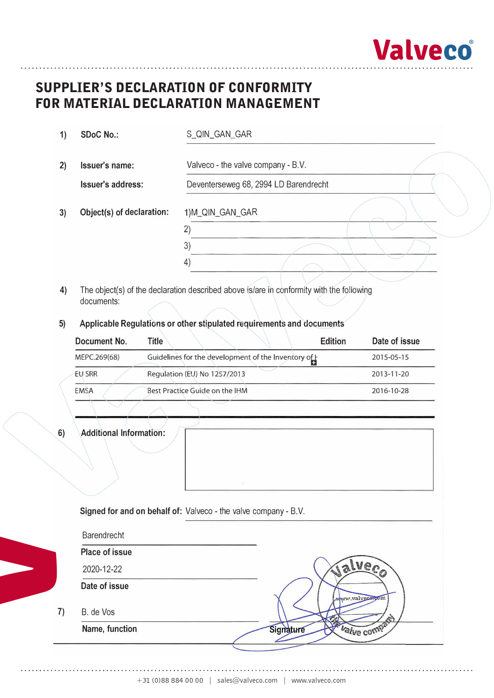

# **Supplier's Declaration of Conformity**  SUPPLIER'S DECLARATION OF CONFORMITY **for Material Declaration Management**  FOR MATERIAL DECLARATION MANAGEMENT

| 1) | <b>SDoC No.:</b>          | S_QIN_GAN_GAR                         |
|----|---------------------------|---------------------------------------|
| 2) | Issuer's name:            | Valveco - the valve company - B.V.    |
|    | Issuer's address:         | Deventerseweg 68, 2994 LD Barendrecht |
| 3) | Object(s) of declaration: | 1)M_QIN_GAN_GAR                       |
|    |                           | 2                                     |
|    |                           | 3)                                    |
|    |                           | 4)                                    |

- **4)** The object(s) of the declaration described above is/are in conformity with the following documents:
- **5) Applicable Regulations or other stipulated requirements and documents**

| Document No.  | <b>Edition</b><br>Title                            | Date of issue |
|---------------|----------------------------------------------------|---------------|
| MEPC.269(68)  | Guidelines for the development of the Inventory of | 2015-05-15    |
| <b>EU SRR</b> | Regulation (EU) No 1257/2013                       | 2013-11-20    |
| <b>EMSA</b>   | Best Practice Guide on the IHM                     | 2016-10-28    |

**6) Additional Information:**

 $7)$ 

**V**

| <b>Barendrecht</b>    |                         |
|-----------------------|-------------------------|
| <b>Place of issue</b> |                         |
| 2020-12-22            | <b>STAGS</b>            |
| Date of issue         | www.valvece.com         |
| B. de Vos             | A.                      |
| Name, function        | Valve comp<br>Signature |